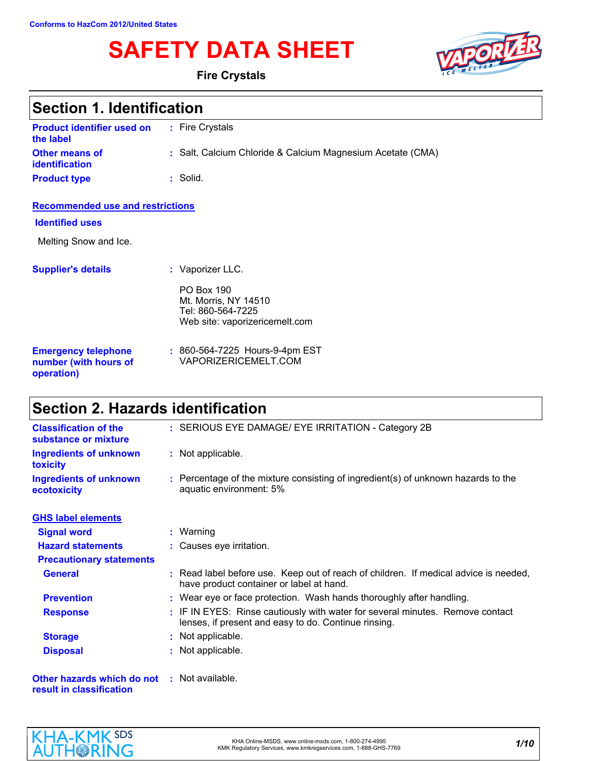# **SAFETY DATA SHEET**



**Fire Crystals**

| <b>Section 1. Identification</b>                                  |                                                                                                  |  |
|-------------------------------------------------------------------|--------------------------------------------------------------------------------------------------|--|
| <b>Product identifier used on</b><br>the label                    | : Fire Crystals                                                                                  |  |
| <b>Other means of</b><br>identification                           | : Salt, Calcium Chloride & Calcium Magnesium Acetate (CMA)                                       |  |
| <b>Product type</b>                                               | : Solid.                                                                                         |  |
| <b>Recommended use and restrictions</b>                           |                                                                                                  |  |
| <b>Identified uses</b>                                            |                                                                                                  |  |
| Melting Snow and Ice.                                             |                                                                                                  |  |
| <b>Supplier's details</b>                                         | : Vaporizer LLC.                                                                                 |  |
|                                                                   | <b>PO Box 190</b><br>Mt. Morris, NY 14510<br>Tel: 860-564-7225<br>Web site: vaporizericemelt.com |  |
| <b>Emergency telephone</b><br>number (with hours of<br>operation) | : 860-564-7225 Hours-9-4pm EST<br>VAPORIZERICEMELT.COM                                           |  |

# **Section 2. Hazards identification**

| <b>Classification of the</b><br>substance or mixture                           | : SERIOUS EYE DAMAGE/ EYE IRRITATION - Category 2B                                                                                    |
|--------------------------------------------------------------------------------|---------------------------------------------------------------------------------------------------------------------------------------|
| <b>Ingredients of unknown</b><br>toxicity                                      | : Not applicable.                                                                                                                     |
| <b>Ingredients of unknown</b><br>ecotoxicity                                   | : Percentage of the mixture consisting of ingredient(s) of unknown hazards to the<br>aquatic environment: 5%                          |
| <b>GHS label elements</b>                                                      |                                                                                                                                       |
| <b>Signal word</b>                                                             | $:$ Warning                                                                                                                           |
| <b>Hazard statements</b>                                                       | : Causes eye irritation.                                                                                                              |
| <b>Precautionary statements</b>                                                |                                                                                                                                       |
| <b>General</b>                                                                 | : Read label before use. Keep out of reach of children. If medical advice is needed,<br>have product container or label at hand.      |
| <b>Prevention</b>                                                              | : Wear eye or face protection. Wash hands thoroughly after handling.                                                                  |
| <b>Response</b>                                                                | : IF IN EYES: Rinse cautiously with water for several minutes. Remove contact<br>lenses, if present and easy to do. Continue rinsing. |
| <b>Storage</b>                                                                 | : Not applicable.                                                                                                                     |
| <b>Disposal</b>                                                                | : Not applicable.                                                                                                                     |
| <b>Other hazards which do not : Not available.</b><br>result in classification |                                                                                                                                       |

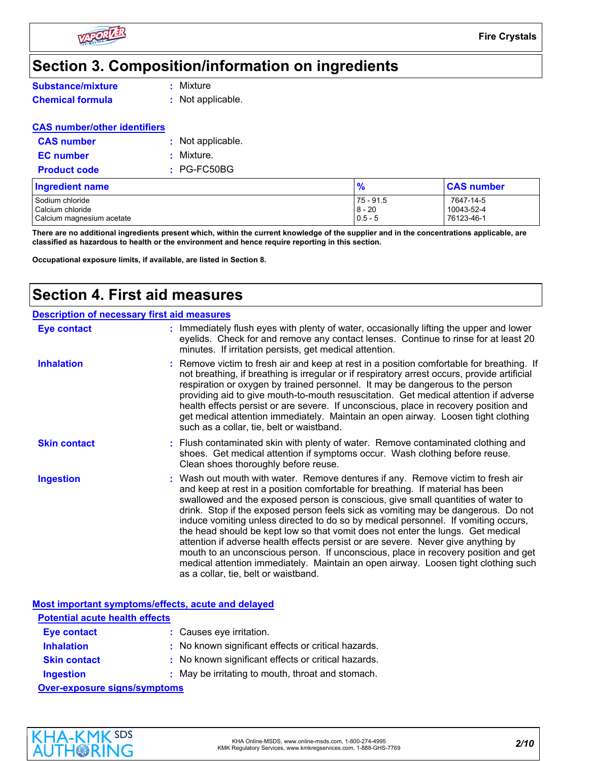

# **Section 3. Composition/information on ingredients**

|  |  |  | <b>Substance/mixture</b> |
|--|--|--|--------------------------|
|  |  |  |                          |

**:** Mixture

**Chemical formula :** Not applicable.

#### **CAS number/other identifiers**

| <b>CAS number</b>   |            | : Not applicable. |
|---------------------|------------|-------------------|
| <b>EC</b> number    | : Mixture. |                   |
| <b>Product code</b> |            | $: PG-FC50BG$     |

| <b>Ingredient name</b>    | 70          | <b>CAS number</b> |
|---------------------------|-------------|-------------------|
| Sodium chloride           | $75 - 91.5$ | 7647-14-5         |
| Calcium chloride          | $8 - 20$    | 10043-52-4        |
| Calcium magnesium acetate | $0.5 - 5$   | 76123-46-1        |

**There are no additional ingredients present which, within the current knowledge of the supplier and in the concentrations applicable, are classified as hazardous to health or the environment and hence require reporting in this section.**

**Occupational exposure limits, if available, are listed in Section 8.**

# **Section 4. First aid measures**

| <b>Description of necessary first aid measures</b> |                                                                                                                                                                                                                                                                                                                                                                                                                                                                                                                                                                                                                                                                                                                                                                                                                              |
|----------------------------------------------------|------------------------------------------------------------------------------------------------------------------------------------------------------------------------------------------------------------------------------------------------------------------------------------------------------------------------------------------------------------------------------------------------------------------------------------------------------------------------------------------------------------------------------------------------------------------------------------------------------------------------------------------------------------------------------------------------------------------------------------------------------------------------------------------------------------------------------|
| Eye contact                                        | : Immediately flush eyes with plenty of water, occasionally lifting the upper and lower<br>eyelids. Check for and remove any contact lenses. Continue to rinse for at least 20<br>minutes. If irritation persists, get medical attention.                                                                                                                                                                                                                                                                                                                                                                                                                                                                                                                                                                                    |
| <b>Inhalation</b>                                  | : Remove victim to fresh air and keep at rest in a position comfortable for breathing. If<br>not breathing, if breathing is irregular or if respiratory arrest occurs, provide artificial<br>respiration or oxygen by trained personnel. It may be dangerous to the person<br>providing aid to give mouth-to-mouth resuscitation. Get medical attention if adverse<br>health effects persist or are severe. If unconscious, place in recovery position and<br>get medical attention immediately. Maintain an open airway. Loosen tight clothing<br>such as a collar, tie, belt or waistband.                                                                                                                                                                                                                                 |
| <b>Skin contact</b>                                | : Flush contaminated skin with plenty of water. Remove contaminated clothing and<br>shoes. Get medical attention if symptoms occur. Wash clothing before reuse.<br>Clean shoes thoroughly before reuse.                                                                                                                                                                                                                                                                                                                                                                                                                                                                                                                                                                                                                      |
| <b>Ingestion</b>                                   | : Wash out mouth with water. Remove dentures if any. Remove victim to fresh air<br>and keep at rest in a position comfortable for breathing. If material has been<br>swallowed and the exposed person is conscious, give small quantities of water to<br>drink. Stop if the exposed person feels sick as vomiting may be dangerous. Do not<br>induce vomiting unless directed to do so by medical personnel. If vomiting occurs,<br>the head should be kept low so that vomit does not enter the lungs. Get medical<br>attention if adverse health effects persist or are severe. Never give anything by<br>mouth to an unconscious person. If unconscious, place in recovery position and get<br>medical attention immediately. Maintain an open airway. Loosen tight clothing such<br>as a collar, tie, belt or waistband. |

|                                       | Most important symptoms/effects, acute and delayed  |
|---------------------------------------|-----------------------------------------------------|
| <b>Potential acute health effects</b> |                                                     |
| <b>Eye contact</b>                    | : Causes eye irritation.                            |
| <b>Inhalation</b>                     | : No known significant effects or critical hazards. |
| <b>Skin contact</b>                   | : No known significant effects or critical hazards. |
| <b>Ingestion</b>                      | : May be irritating to mouth, throat and stomach.   |
| <b>Over-exposure signs/symptoms</b>   |                                                     |

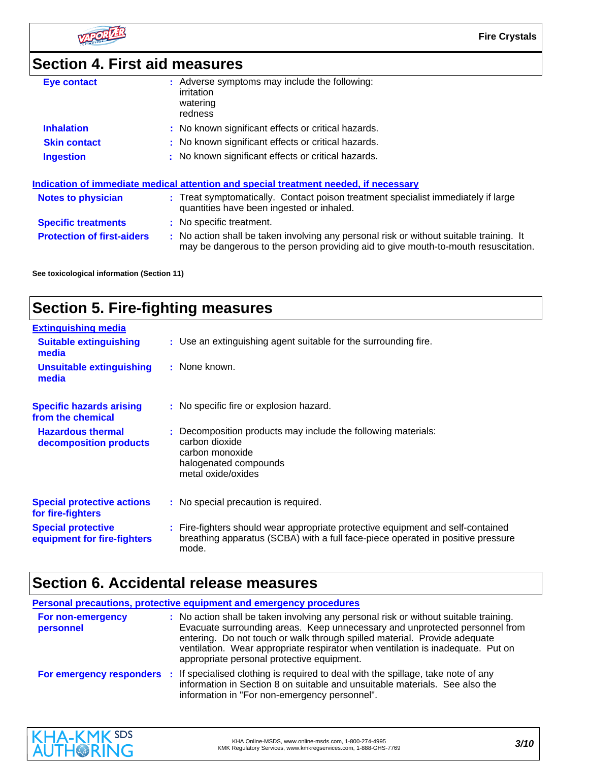

**Fire Crystals**

# **Section 4. First aid measures**

| Eye contact                       | : Adverse symptoms may include the following:<br>irritation<br>watering<br>redness                                                                                            |
|-----------------------------------|-------------------------------------------------------------------------------------------------------------------------------------------------------------------------------|
| <b>Inhalation</b>                 | : No known significant effects or critical hazards.                                                                                                                           |
| <b>Skin contact</b>               | : No known significant effects or critical hazards.                                                                                                                           |
| <b>Ingestion</b>                  | : No known significant effects or critical hazards.                                                                                                                           |
|                                   | Indication of immediate medical attention and special treatment needed, if necessary                                                                                          |
| <b>Notes to physician</b>         | : Treat symptomatically. Contact poison treatment specialist immediately if large<br>quantities have been ingested or inhaled.                                                |
| <b>Specific treatments</b>        | : No specific treatment.                                                                                                                                                      |
| <b>Protection of first-aiders</b> | : No action shall be taken involving any personal risk or without suitable training. It<br>may be dangerous to the person providing aid to give mouth-to-mouth resuscitation. |

**See toxicological information (Section 11)**

# **Section 5. Fire-fighting measures**

| <b>Extinguishing media</b>                               |                                                                                                                                                                             |
|----------------------------------------------------------|-----------------------------------------------------------------------------------------------------------------------------------------------------------------------------|
| <b>Suitable extinguishing</b><br>media                   | : Use an extinguishing agent suitable for the surrounding fire.                                                                                                             |
| <b>Unsuitable extinguishing</b><br>media                 | : None known.                                                                                                                                                               |
| <b>Specific hazards arising</b><br>from the chemical     | : No specific fire or explosion hazard.                                                                                                                                     |
| <b>Hazardous thermal</b><br>decomposition products       | : Decomposition products may include the following materials:<br>carbon dioxide<br>carbon monoxide<br>halogenated compounds<br>metal oxide/oxides                           |
| <b>Special protective actions</b><br>for fire-fighters   | : No special precaution is required.                                                                                                                                        |
| <b>Special protective</b><br>equipment for fire-fighters | : Fire-fighters should wear appropriate protective equipment and self-contained<br>breathing apparatus (SCBA) with a full face-piece operated in positive pressure<br>mode. |

# **Section 6. Accidental release measures**

| Personal precautions, protective equipment and emergency procedures |  |                                                                                                                                                                                                                                                                                                                                                                                   |  |
|---------------------------------------------------------------------|--|-----------------------------------------------------------------------------------------------------------------------------------------------------------------------------------------------------------------------------------------------------------------------------------------------------------------------------------------------------------------------------------|--|
| For non-emergency<br>personnel                                      |  | : No action shall be taken involving any personal risk or without suitable training.<br>Evacuate surrounding areas. Keep unnecessary and unprotected personnel from<br>entering. Do not touch or walk through spilled material. Provide adequate<br>ventilation. Wear appropriate respirator when ventilation is inadequate. Put on<br>appropriate personal protective equipment. |  |
|                                                                     |  | For emergency responders : If specialised clothing is required to deal with the spillage, take note of any<br>information in Section 8 on suitable and unsuitable materials. See also the<br>information in "For non-emergency personnel".                                                                                                                                        |  |

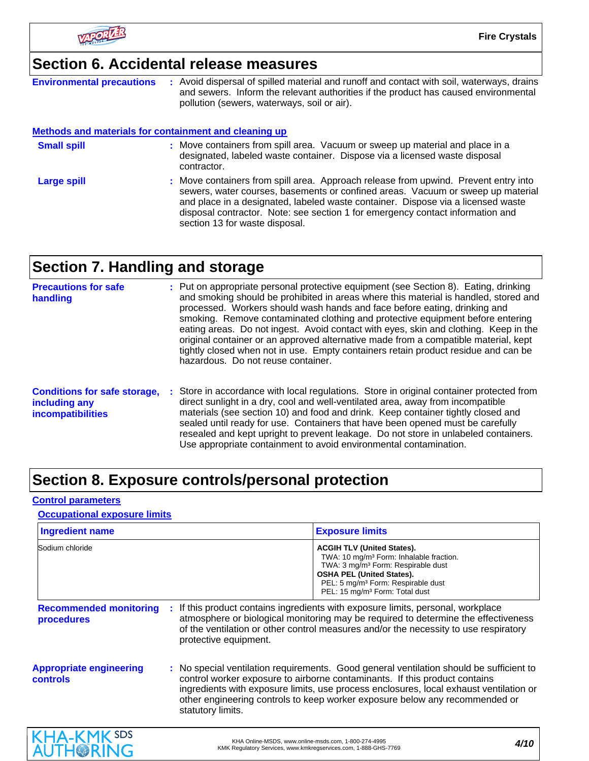

## **Section 6. Accidental release measures**

**Environmental precautions :** Avoid dispersal of spilled material and runoff and contact with soil, waterways, drains and sewers. Inform the relevant authorities if the product has caused environmental pollution (sewers, waterways, soil or air).

#### **Methods and materials for containment and cleaning up**

- : Move containers from spill area. Approach release from upwind. Prevent entry into **Large spill :** Move containers from spill area. Vacuum or sweep up material and place in a designated, labeled waste container. Dispose via a licensed waste disposal contractor. **Small spill :**
- sewers, water courses, basements or confined areas. Vacuum or sweep up material and place in a designated, labeled waste container. Dispose via a licensed waste disposal contractor. Note: see section 1 for emergency contact information and section 13 for waste disposal.

## **Section 7. Handling and storage**

| <b>Precautions for safe</b><br>handling                                          | : Put on appropriate personal protective equipment (see Section 8). Eating, drinking<br>and smoking should be prohibited in areas where this material is handled, stored and<br>processed. Workers should wash hands and face before eating, drinking and<br>smoking. Remove contaminated clothing and protective equipment before entering<br>eating areas. Do not ingest. Avoid contact with eyes, skin and clothing. Keep in the<br>original container or an approved alternative made from a compatible material, kept<br>tightly closed when not in use. Empty containers retain product residue and can be<br>hazardous. Do not reuse container. |
|----------------------------------------------------------------------------------|--------------------------------------------------------------------------------------------------------------------------------------------------------------------------------------------------------------------------------------------------------------------------------------------------------------------------------------------------------------------------------------------------------------------------------------------------------------------------------------------------------------------------------------------------------------------------------------------------------------------------------------------------------|
| <b>Conditions for safe storage,</b><br>including any<br><b>incompatibilities</b> | : Store in accordance with local regulations. Store in original container protected from<br>direct sunlight in a dry, cool and well-ventilated area, away from incompatible<br>materials (see section 10) and food and drink. Keep container tightly closed and<br>sealed until ready for use. Containers that have been opened must be carefully<br>resealed and kept upright to prevent leakage. Do not store in unlabeled containers.<br>Use appropriate containment to avoid environmental contamination.                                                                                                                                          |

# **Section 8. Exposure controls/personal protection**

#### **Control parameters**

#### **Occupational exposure limits**

| <b>Ingredient name</b>                            |                            | <b>Exposure limits</b>                                                                                                                                                                                                                                                                                                                         |
|---------------------------------------------------|----------------------------|------------------------------------------------------------------------------------------------------------------------------------------------------------------------------------------------------------------------------------------------------------------------------------------------------------------------------------------------|
| Sodium chloride                                   |                            | <b>ACGIH TLV (United States).</b><br>TWA: 10 mg/m <sup>3</sup> Form: Inhalable fraction.<br>TWA: 3 mg/m <sup>3</sup> Form: Respirable dust<br><b>OSHA PEL (United States).</b><br>PEL: 5 mg/m <sup>3</sup> Form: Respirable dust<br>PEL: 15 mg/m <sup>3</sup> Form: Total dust                                                                 |
| <b>Recommended monitoring</b><br>procedures       | ÷<br>protective equipment. | If this product contains ingredients with exposure limits, personal, workplace<br>atmosphere or biological monitoring may be required to determine the effectiveness<br>of the ventilation or other control measures and/or the necessity to use respiratory                                                                                   |
| <b>Appropriate engineering</b><br><b>controls</b> | statutory limits.          | : No special ventilation requirements. Good general ventilation should be sufficient to<br>control worker exposure to airborne contaminants. If this product contains<br>ingredients with exposure limits, use process enclosures, local exhaust ventilation or<br>other engineering controls to keep worker exposure below any recommended or |

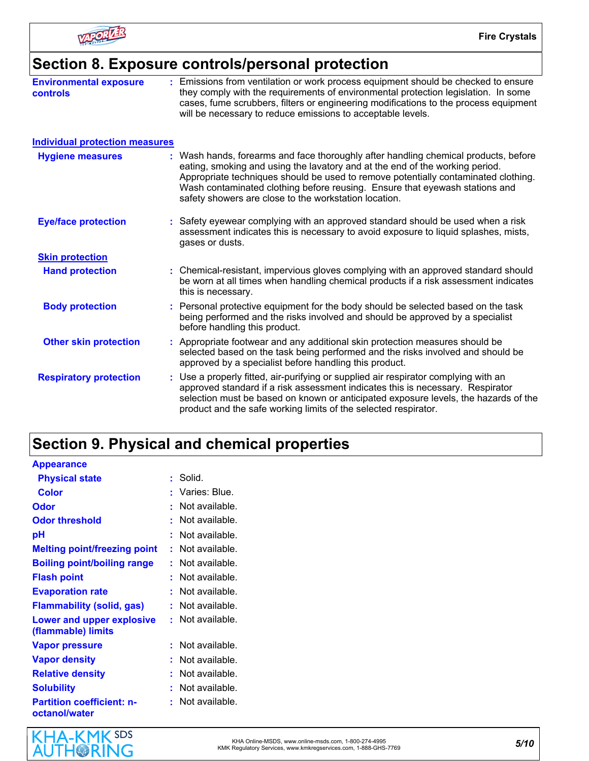

## **Section 8. Exposure controls/personal protection**

| <b>Environmental exposure</b><br>controls | : Emissions from ventilation or work process equipment should be checked to ensure<br>they comply with the requirements of environmental protection legislation. In some<br>cases, fume scrubbers, filters or engineering modifications to the process equipment<br>will be necessary to reduce emissions to acceptable levels.                                                                   |
|-------------------------------------------|---------------------------------------------------------------------------------------------------------------------------------------------------------------------------------------------------------------------------------------------------------------------------------------------------------------------------------------------------------------------------------------------------|
| <b>Individual protection measures</b>     |                                                                                                                                                                                                                                                                                                                                                                                                   |
| <b>Hygiene measures</b>                   | : Wash hands, forearms and face thoroughly after handling chemical products, before<br>eating, smoking and using the lavatory and at the end of the working period.<br>Appropriate techniques should be used to remove potentially contaminated clothing.<br>Wash contaminated clothing before reusing. Ensure that eyewash stations and<br>safety showers are close to the workstation location. |
| <b>Eye/face protection</b>                | : Safety eyewear complying with an approved standard should be used when a risk<br>assessment indicates this is necessary to avoid exposure to liquid splashes, mists,<br>gases or dusts.                                                                                                                                                                                                         |
| <b>Skin protection</b>                    |                                                                                                                                                                                                                                                                                                                                                                                                   |
| <b>Hand protection</b>                    | : Chemical-resistant, impervious gloves complying with an approved standard should<br>be worn at all times when handling chemical products if a risk assessment indicates<br>this is necessary.                                                                                                                                                                                                   |
| <b>Body protection</b>                    | : Personal protective equipment for the body should be selected based on the task<br>being performed and the risks involved and should be approved by a specialist<br>before handling this product.                                                                                                                                                                                               |
| <b>Other skin protection</b>              | : Appropriate footwear and any additional skin protection measures should be<br>selected based on the task being performed and the risks involved and should be<br>approved by a specialist before handling this product.                                                                                                                                                                         |
| <b>Respiratory protection</b>             | : Use a properly fitted, air-purifying or supplied air respirator complying with an<br>approved standard if a risk assessment indicates this is necessary. Respirator<br>selection must be based on known or anticipated exposure levels, the hazards of the<br>product and the safe working limits of the selected respirator.                                                                   |

# **Section 9. Physical and chemical properties**

| <b>Appearance</b>                                 |                    |
|---------------------------------------------------|--------------------|
| <b>Physical state</b>                             | : Solid.           |
| <b>Color</b>                                      | : Varies: Blue.    |
| <b>Odor</b>                                       | : Not available.   |
| <b>Odor threshold</b>                             | : Not available.   |
| рH                                                | : Not available.   |
| <b>Melting point/freezing point</b>               | $:$ Not available. |
| <b>Boiling point/boiling range</b>                | : Not available.   |
| <b>Flash point</b>                                | : Not available.   |
| <b>Evaporation rate</b>                           | : Not available.   |
| <b>Flammability (solid, gas)</b>                  | $:$ Not available. |
| Lower and upper explosive<br>(flammable) limits   | $:$ Not available. |
| <b>Vapor pressure</b>                             | : Not available.   |
| <b>Vapor density</b>                              | : Not available.   |
| <b>Relative density</b>                           | : Not available.   |
| <b>Solubility</b>                                 | : Not available.   |
| <b>Partition coefficient: n-</b><br>octanol/water | $:$ Not available. |

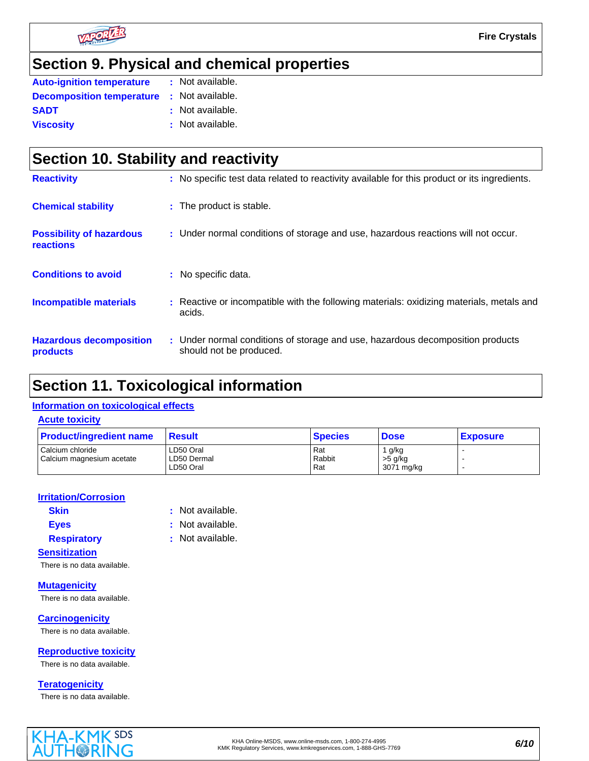

# **Section 9. Physical and chemical properties**

| <b>Auto-ignition temperature</b> | : Not available. |
|----------------------------------|------------------|
| <b>Decomposition temperature</b> | : Not available. |
| <b>SADT</b>                      | : Not available. |
| <b>Viscosity</b>                 | : Not available. |

| Section 10. Stability and reactivity                |  |                                                                                                           |  |
|-----------------------------------------------------|--|-----------------------------------------------------------------------------------------------------------|--|
| <b>Reactivity</b>                                   |  | : No specific test data related to reactivity available for this product or its ingredients.              |  |
| <b>Chemical stability</b>                           |  | : The product is stable.                                                                                  |  |
| <b>Possibility of hazardous</b><br><b>reactions</b> |  | : Under normal conditions of storage and use, hazardous reactions will not occur.                         |  |
| <b>Conditions to avoid</b>                          |  | : No specific data.                                                                                       |  |
| <b>Incompatible materials</b>                       |  | : Reactive or incompatible with the following materials: oxidizing materials, metals and<br>acids.        |  |
| <b>Hazardous decomposition</b><br>products          |  | : Under normal conditions of storage and use, hazardous decomposition products<br>should not be produced. |  |

## **Section 11. Toxicological information**

#### **Information on toxicological effects**

| <b>Acute toxicity</b> |  |
|-----------------------|--|
|                       |  |

| <b>Product/ingredient name</b> | <b>Result</b> | <b>Species</b> | <b>Dose</b> | <b>Exposure</b> |
|--------------------------------|---------------|----------------|-------------|-----------------|
| Calcium chloride               | LD50 Oral     | Rat            | g/kg        |                 |
| Calcium magnesium acetate      | LD50 Dermal   | Rabbit         | $>5$ g/kg   |                 |
|                                | LD50 Oral     | Rat            | 3071 mg/kg  |                 |

#### **Irritation/Corrosion**

| <b>Skin</b> |  |
|-------------|--|
| <b>Eyes</b> |  |

- **Skin :** Not available.
- **Eyes :** Not available.

#### **Respiratory :** Not available.

**Sensitization**

There is no data available.

**Mutagenicity** There is no data available.

**Carcinogenicity** There is no data available.

**Reproductive toxicity**

There is no data available.

**Teratogenicity**

There is no data available.

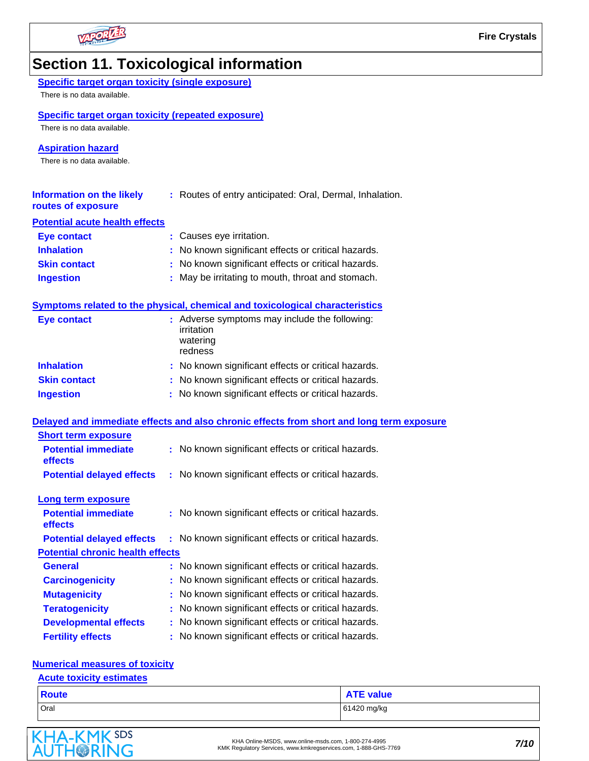

# **Section 11. Toxicological information**

| <b>Specific target organ toxicity (single exposure)</b>                     |                                                                                          |
|-----------------------------------------------------------------------------|------------------------------------------------------------------------------------------|
| There is no data available.                                                 |                                                                                          |
| <b>Specific target organ toxicity (repeated exposure)</b>                   |                                                                                          |
| There is no data available.                                                 |                                                                                          |
| <b>Aspiration hazard</b>                                                    |                                                                                          |
| There is no data available.                                                 |                                                                                          |
|                                                                             |                                                                                          |
| <b>Information on the likely</b><br>routes of exposure                      | : Routes of entry anticipated: Oral, Dermal, Inhalation.                                 |
| <b>Potential acute health effects</b>                                       |                                                                                          |
| <b>Eye contact</b>                                                          | : Causes eye irritation.                                                                 |
| <b>Inhalation</b>                                                           | : No known significant effects or critical hazards.                                      |
| <b>Skin contact</b>                                                         | : No known significant effects or critical hazards.                                      |
| <b>Ingestion</b>                                                            | : May be irritating to mouth, throat and stomach.                                        |
|                                                                             |                                                                                          |
|                                                                             | Symptoms related to the physical, chemical and toxicological characteristics             |
| <b>Eye contact</b>                                                          | : Adverse symptoms may include the following:<br>irritation<br>watering<br>redness       |
| <b>Inhalation</b>                                                           | : No known significant effects or critical hazards.                                      |
|                                                                             |                                                                                          |
| <b>Skin contact</b>                                                         | : No known significant effects or critical hazards.                                      |
| <b>Ingestion</b>                                                            | : No known significant effects or critical hazards.                                      |
|                                                                             |                                                                                          |
|                                                                             | Delayed and immediate effects and also chronic effects from short and long term exposure |
| <b>Short term exposure</b><br><b>Potential immediate</b><br>effects         | : No known significant effects or critical hazards.                                      |
| <b>Potential delayed effects</b>                                            | : No known significant effects or critical hazards.                                      |
|                                                                             |                                                                                          |
| Long term exposure<br><b>Potential immediate</b><br>effects                 | : No known significant effects or critical hazards.                                      |
|                                                                             | : No known significant effects or critical hazards.                                      |
| <b>Potential delayed effects</b><br><b>Potential chronic health effects</b> |                                                                                          |
| <b>General</b>                                                              | : No known significant effects or critical hazards.                                      |
| <b>Carcinogenicity</b>                                                      | : No known significant effects or critical hazards.                                      |
| <b>Mutagenicity</b>                                                         | No known significant effects or critical hazards.                                        |
| <b>Teratogenicity</b>                                                       | No known significant effects or critical hazards.                                        |
| <b>Developmental effects</b>                                                | : No known significant effects or critical hazards.                                      |

# Oral 61420 mg/kg **Route** ATE value

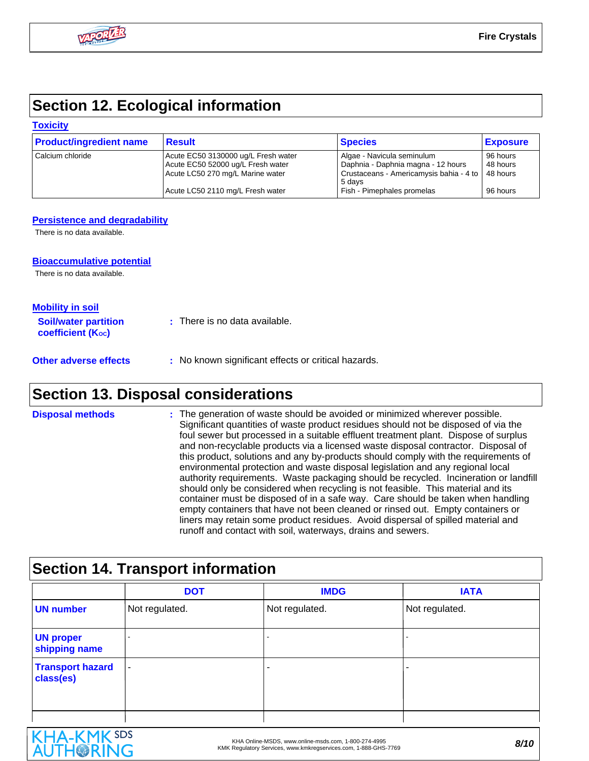# **Section 12. Ecological information**

#### **Toxicity**

| <b>Product/ingredient name</b> | <b>Result</b>                                                                                                | <b>Species</b>                                                                                                        | <b>Exposure</b>                  |
|--------------------------------|--------------------------------------------------------------------------------------------------------------|-----------------------------------------------------------------------------------------------------------------------|----------------------------------|
| l Calcium chloride             | Acute EC50 3130000 ug/L Fresh water<br>Acute EC50 52000 ug/L Fresh water<br>Acute LC50 270 mg/L Marine water | Algae - Navicula seminulum<br>Daphnia - Daphnia magna - 12 hours<br>Crustaceans - Americamysis bahia - 4 to<br>5 davs | 96 hours<br>48 hours<br>48 hours |
|                                | Acute LC50 2110 mg/L Fresh water                                                                             | Fish - Pimephales promelas                                                                                            | 96 hours                         |

#### **Persistence and degradability**

There is no data available.

#### **Bioaccumulative potential**

There is no data available.

| <b>Mobility in soil</b>                                 |                                 |
|---------------------------------------------------------|---------------------------------|
| <b>Soil/water partition</b><br><b>coefficient (Koc)</b> | $:$ There is no data available. |

**Other adverse effects** : No known significant effects or critical hazards.

## **Section 13. Disposal considerations**

The generation of waste should be avoided or minimized wherever possible. Significant quantities of waste product residues should not be disposed of via the foul sewer but processed in a suitable effluent treatment plant. Dispose of surplus and non-recyclable products via a licensed waste disposal contractor. Disposal of this product, solutions and any by-products should comply with the requirements of environmental protection and waste disposal legislation and any regional local authority requirements. Waste packaging should be recycled. Incineration or landfill should only be considered when recycling is not feasible. This material and its container must be disposed of in a safe way. Care should be taken when handling empty containers that have not been cleaned or rinsed out. Empty containers or liners may retain some product residues. Avoid dispersal of spilled material and runoff and contact with soil, waterways, drains and sewers. **Disposal methods :**

## **Section 14. Transport information**

|                                      | <b>DOT</b>     | <b>IMDG</b>    | <b>IATA</b>    |
|--------------------------------------|----------------|----------------|----------------|
| <b>UN number</b>                     | Not regulated. | Not regulated. | Not regulated. |
| <b>UN proper</b><br>shipping name    | $\blacksquare$ |                |                |
| <b>Transport hazard</b><br>class(es) | ٠              | ۰              |                |

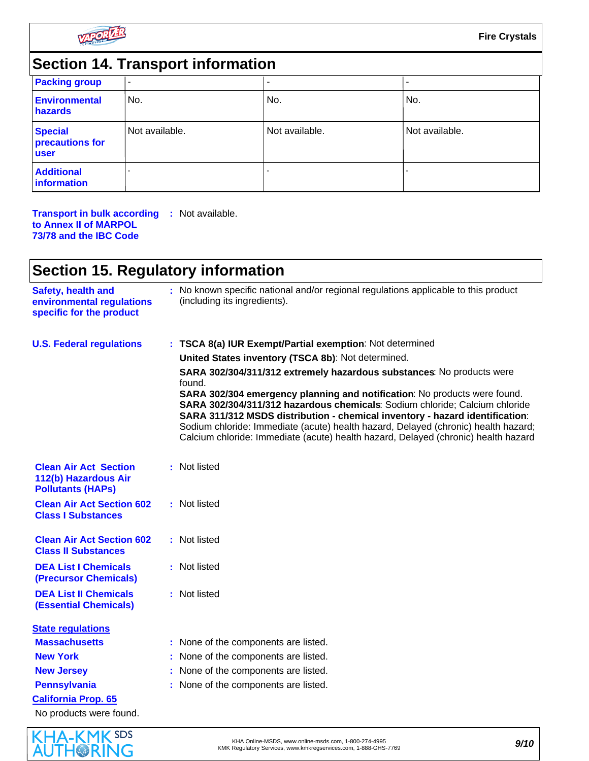

# **Section 14. Transport information**

| <b>Packing group</b>                      | ٠              |                |                |
|-------------------------------------------|----------------|----------------|----------------|
| <b>Environmental</b><br>hazards           | No.            | No.            | No.            |
| <b>Special</b><br>precautions for<br>user | Not available. | Not available. | Not available. |
| <b>Additional</b><br>information          |                |                |                |

#### **Transport in bulk according :** Not available. **to Annex II of MARPOL 73/78 and the IBC Code**

# **Section 15. Regulatory information**

| <b>Safety, health and</b><br>environmental regulations<br>specific for the product | : No known specific national and/or regional regulations applicable to this product<br>(including its ingredients).                                                                                                                                                                                                                                                                                                  |  |
|------------------------------------------------------------------------------------|----------------------------------------------------------------------------------------------------------------------------------------------------------------------------------------------------------------------------------------------------------------------------------------------------------------------------------------------------------------------------------------------------------------------|--|
| <b>U.S. Federal regulations</b>                                                    | : TSCA 8(a) IUR Exempt/Partial exemption: Not determined                                                                                                                                                                                                                                                                                                                                                             |  |
|                                                                                    | United States inventory (TSCA 8b): Not determined.                                                                                                                                                                                                                                                                                                                                                                   |  |
|                                                                                    | SARA 302/304/311/312 extremely hazardous substances: No products were<br>found.                                                                                                                                                                                                                                                                                                                                      |  |
|                                                                                    | SARA 302/304 emergency planning and notification: No products were found.<br>SARA 302/304/311/312 hazardous chemicals: Sodium chloride; Calcium chloride<br>SARA 311/312 MSDS distribution - chemical inventory - hazard identification:<br>Sodium chloride: Immediate (acute) health hazard, Delayed (chronic) health hazard;<br>Calcium chloride: Immediate (acute) health hazard, Delayed (chronic) health hazard |  |
| <b>Clean Air Act Section</b><br>112(b) Hazardous Air<br><b>Pollutants (HAPs)</b>   | : Not listed                                                                                                                                                                                                                                                                                                                                                                                                         |  |
| <b>Clean Air Act Section 602</b><br><b>Class I Substances</b>                      | : Not listed                                                                                                                                                                                                                                                                                                                                                                                                         |  |
| <b>Clean Air Act Section 602</b><br><b>Class II Substances</b>                     | : Not listed                                                                                                                                                                                                                                                                                                                                                                                                         |  |
| <b>DEA List I Chemicals</b><br><b>(Precursor Chemicals)</b>                        | : Not listed                                                                                                                                                                                                                                                                                                                                                                                                         |  |
| <b>DEA List II Chemicals</b><br><b>(Essential Chemicals)</b>                       | : Not listed                                                                                                                                                                                                                                                                                                                                                                                                         |  |
| <b>State regulations</b>                                                           |                                                                                                                                                                                                                                                                                                                                                                                                                      |  |
| <b>Massachusetts</b>                                                               | : None of the components are listed.                                                                                                                                                                                                                                                                                                                                                                                 |  |
| <b>New York</b>                                                                    | None of the components are listed.                                                                                                                                                                                                                                                                                                                                                                                   |  |
| <b>New Jersey</b>                                                                  | : None of the components are listed.                                                                                                                                                                                                                                                                                                                                                                                 |  |
| <b>Pennsylvania</b>                                                                | : None of the components are listed.                                                                                                                                                                                                                                                                                                                                                                                 |  |
| California Prop. 65                                                                |                                                                                                                                                                                                                                                                                                                                                                                                                      |  |
| No products were found.                                                            |                                                                                                                                                                                                                                                                                                                                                                                                                      |  |

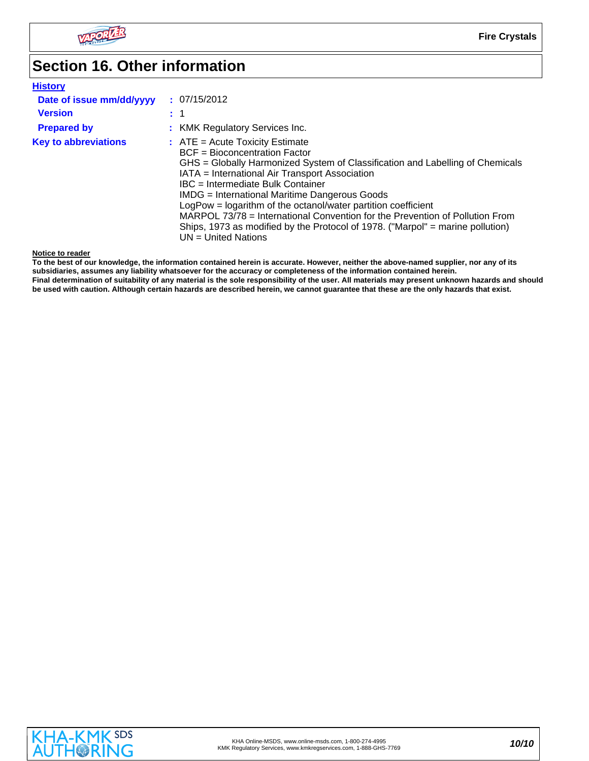

# **Section 16. Other information**

| <b>History</b>              |                                                                                                                                                                                                                                                                                                                                                                                                                                                                                                                                                              |
|-----------------------------|--------------------------------------------------------------------------------------------------------------------------------------------------------------------------------------------------------------------------------------------------------------------------------------------------------------------------------------------------------------------------------------------------------------------------------------------------------------------------------------------------------------------------------------------------------------|
| Date of issue mm/dd/yyyy    | : 07/15/2012                                                                                                                                                                                                                                                                                                                                                                                                                                                                                                                                                 |
| <b>Version</b>              | $\pm$ 1                                                                                                                                                                                                                                                                                                                                                                                                                                                                                                                                                      |
| <b>Prepared by</b>          | : KMK Regulatory Services Inc.                                                                                                                                                                                                                                                                                                                                                                                                                                                                                                                               |
| <b>Key to abbreviations</b> | $:$ ATE = Acute Toxicity Estimate<br>BCF = Bioconcentration Factor<br>GHS = Globally Harmonized System of Classification and Labelling of Chemicals<br>IATA = International Air Transport Association<br>IBC = Intermediate Bulk Container<br><b>IMDG</b> = International Maritime Dangerous Goods<br>LogPow = logarithm of the octanol/water partition coefficient<br>MARPOL 73/78 = International Convention for the Prevention of Pollution From<br>Ships, 1973 as modified by the Protocol of 1978. ("Marpol" = marine pollution)<br>UN = United Nations |

**Notice to reader**

**To the best of our knowledge, the information contained herein is accurate. However, neither the above-named supplier, nor any of its subsidiaries, assumes any liability whatsoever for the accuracy or completeness of the information contained herein. Final determination of suitability of any material is the sole responsibility of the user. All materials may present unknown hazards and should be used with caution. Although certain hazards are described herein, we cannot guarantee that these are the only hazards that exist.**

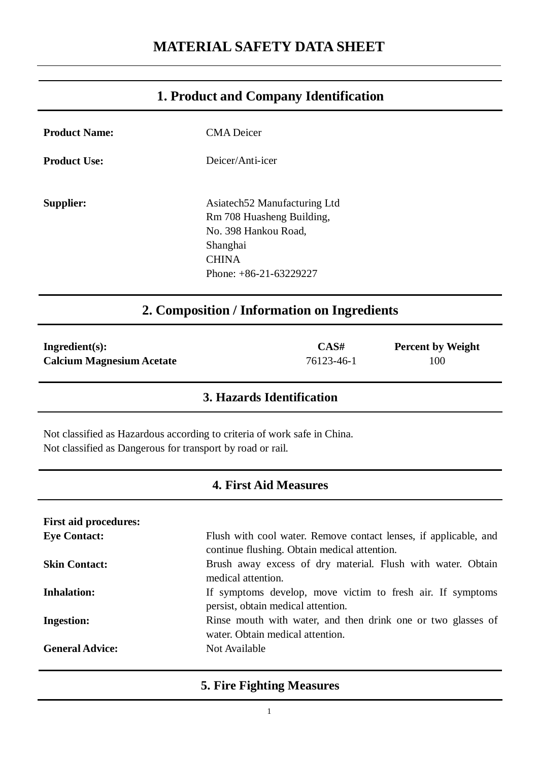# **1. Product and Company Identification**

| <b>Product Name:</b>                                                                                                                   | <b>CMA</b> Deicer                                                                                                                         |  |
|----------------------------------------------------------------------------------------------------------------------------------------|-------------------------------------------------------------------------------------------------------------------------------------------|--|
| <b>Product Use:</b>                                                                                                                    | Deicer/Anti-icer                                                                                                                          |  |
| <b>Supplier:</b>                                                                                                                       | Asiatech52 Manufacturing Ltd<br>Rm 708 Huasheng Building,<br>No. 398 Hankou Road,<br>Shanghai<br><b>CHINA</b><br>Phone: $+86-21-63229227$ |  |
| 2. Composition / Information on Ingredients                                                                                            |                                                                                                                                           |  |
| CAS#<br>Ingredient(s):<br><b>Percent by Weight</b><br>76123-46-1<br><b>Calcium Magnesium Acetate</b><br>100                            |                                                                                                                                           |  |
| 3. Hazards Identification                                                                                                              |                                                                                                                                           |  |
| Not classified as Hazardous according to criteria of work safe in China.<br>Not classified as Dangerous for transport by road or rail. |                                                                                                                                           |  |

## **4. First Aid Measures**

| <b>First aid procedures:</b> |                                                                                                                  |
|------------------------------|------------------------------------------------------------------------------------------------------------------|
| <b>Eye Contact:</b>          | Flush with cool water. Remove contact lenses, if applicable, and<br>continue flushing. Obtain medical attention. |
| <b>Skin Contact:</b>         | Brush away excess of dry material. Flush with water. Obtain<br>medical attention.                                |
| <b>Inhalation:</b>           | If symptoms develop, move victim to fresh air. If symptoms<br>persist, obtain medical attention.                 |
| <b>Ingestion:</b>            | Rinse mouth with water, and then drink one or two glasses of<br>water. Obtain medical attention.                 |
| <b>General Advice:</b>       | Not Available                                                                                                    |

## **5. Fire Fighting Measures**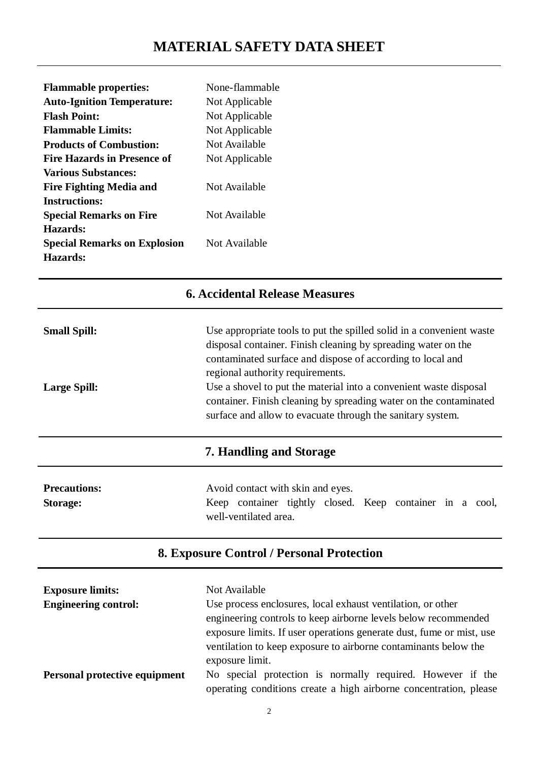| <b>Flammable properties:</b>        | None-flammable |
|-------------------------------------|----------------|
| <b>Auto-Ignition Temperature:</b>   | Not Applicable |
| <b>Flash Point:</b>                 | Not Applicable |
| <b>Flammable Limits:</b>            | Not Applicable |
| <b>Products of Combustion:</b>      | Not Available  |
| Fire Hazards in Presence of         | Not Applicable |
| <b>Various Substances:</b>          |                |
| <b>Fire Fighting Media and</b>      | Not Available  |
| <b>Instructions:</b>                |                |
| <b>Special Remarks on Fire</b>      | Not Available  |
| Hazards:                            |                |
| <b>Special Remarks on Explosion</b> | Not Available  |
| Hazards:                            |                |

# **6. Accidental Release Measures**

| <b>Small Spill:</b> | Use appropriate tools to put the spilled solid in a convenient waste                                                                                                                                 |  |  |
|---------------------|------------------------------------------------------------------------------------------------------------------------------------------------------------------------------------------------------|--|--|
|                     | disposal container. Finish cleaning by spreading water on the                                                                                                                                        |  |  |
|                     | contaminated surface and dispose of according to local and                                                                                                                                           |  |  |
| <b>Large Spill:</b> | regional authority requirements.                                                                                                                                                                     |  |  |
|                     | Use a shovel to put the material into a convenient waste disposal<br>container. Finish cleaning by spreading water on the contaminated<br>surface and allow to evacuate through the sanitary system. |  |  |
|                     | 7. Handling and Storage                                                                                                                                                                              |  |  |
| <b>Precautions:</b> | Avoid contact with skin and eyes.                                                                                                                                                                    |  |  |
| Storage:            | Keep container tightly closed. Keep container in a cool,                                                                                                                                             |  |  |

## **8. Exposure Control / Personal Protection**

well-ventilated area.

| <b>Exposure limits:</b>       | Not Available                                                        |  |
|-------------------------------|----------------------------------------------------------------------|--|
| <b>Engineering control:</b>   | Use process enclosures, local exhaust ventilation, or other          |  |
|                               | engineering controls to keep airborne levels below recommended       |  |
|                               | exposure limits. If user operations generate dust, fume or mist, use |  |
|                               | ventilation to keep exposure to airborne contaminants below the      |  |
|                               | exposure limit.                                                      |  |
| Personal protective equipment | No special protection is normally required. However if the           |  |
|                               | operating conditions create a high airborne concentration, please    |  |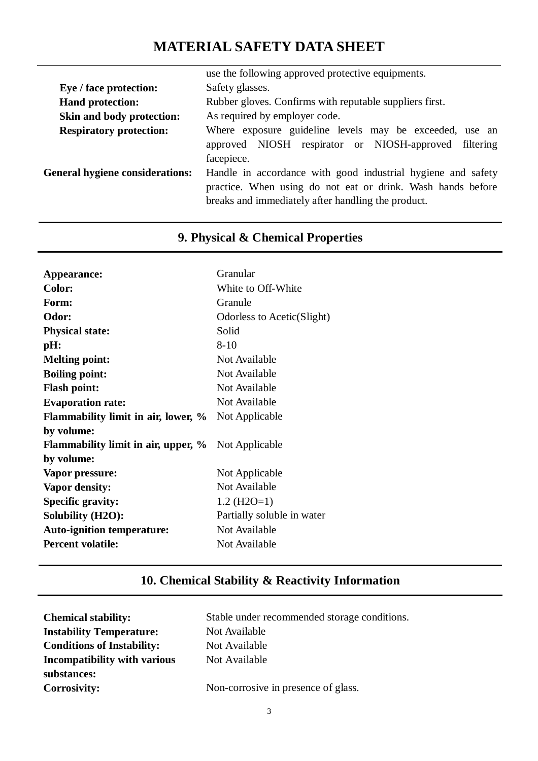# **MATERIAL SAFETY DATA SHEET**

|                                        | use the following approved protective equipments.                                                                                                                                 |  |  |
|----------------------------------------|-----------------------------------------------------------------------------------------------------------------------------------------------------------------------------------|--|--|
| Eye / face protection:                 | Safety glasses.                                                                                                                                                                   |  |  |
| <b>Hand protection:</b>                | Rubber gloves. Confirms with reputable suppliers first.                                                                                                                           |  |  |
| Skin and body protection:              | As required by employer code.                                                                                                                                                     |  |  |
| <b>Respiratory protection:</b>         | Where exposure guideline levels may be exceeded, use an                                                                                                                           |  |  |
|                                        | approved NIOSH respirator or NIOSH-approved filtering<br>facepiece.                                                                                                               |  |  |
| <b>General hygiene considerations:</b> | Handle in accordance with good industrial hygiene and safety<br>practice. When using do not eat or drink. Wash hands before<br>breaks and immediately after handling the product. |  |  |

# **9. Physical & Chemical Properties**

| Appearance:                                | Granular                   |
|--------------------------------------------|----------------------------|
| <b>Color:</b>                              | White to Off-White         |
| Form:                                      | Granule                    |
| Odor:                                      | Odorless to Acetic(Slight) |
| <b>Physical state:</b>                     | Solid                      |
| pH:                                        | $8 - 10$                   |
| <b>Melting point:</b>                      | Not Available              |
| <b>Boiling point:</b>                      | Not Available              |
| <b>Flash point:</b>                        | Not Available              |
| <b>Evaporation rate:</b>                   | Not Available              |
| Flammability limit in air, lower, %        | Not Applicable             |
| by volume:                                 |                            |
| <b>Flammability limit in air, upper, %</b> | Not Applicable             |
| by volume:                                 |                            |
| Vapor pressure:                            | Not Applicable             |
| Vapor density:                             | Not Available              |
| <b>Specific gravity:</b>                   | $1.2$ (H2O=1)              |
| <b>Solubility (H2O):</b>                   | Partially soluble in water |
| <b>Auto-ignition temperature:</b>          | Not Available              |
| <b>Percent volatile:</b>                   | Not Available              |

# **10. Chemical Stability & Reactivity Information**

| <b>Chemical stability:</b>        | Stable under recommended storage conditions. |
|-----------------------------------|----------------------------------------------|
| <b>Instability Temperature:</b>   | Not Available                                |
| <b>Conditions of Instability:</b> | Not Available                                |
| Incompatibility with various      | Not Available                                |
| substances:                       |                                              |
| <b>Corrosivity:</b>               | Non-corrosive in presence of glass.          |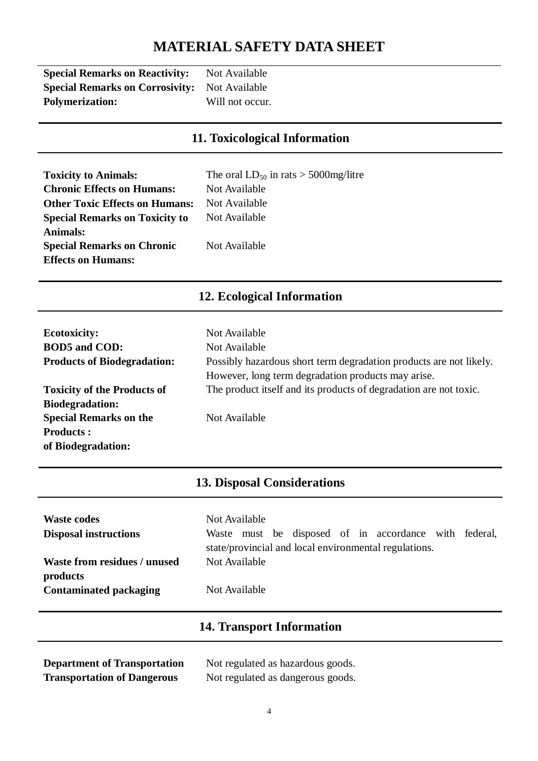# **MATERIAL SAFETY DATA SHEET**

| <b>Special Remarks on Reactivity:</b>  | Not Available   |
|----------------------------------------|-----------------|
| <b>Special Remarks on Corrosivity:</b> | Not Available   |
| <b>Polymerization:</b>                 | Will not occur. |

## **11. Toxicological Information**

| <b>Toxicity to Animals:</b>           | The oral $LD_{50}$ in rats > 5000mg/litre |
|---------------------------------------|-------------------------------------------|
| <b>Chronic Effects on Humans:</b>     | Not Available                             |
| <b>Other Toxic Effects on Humans:</b> | Not Available                             |
| <b>Special Remarks on Toxicity to</b> | Not Available                             |
| <b>Animals:</b>                       |                                           |
| <b>Special Remarks on Chronic</b>     | Not Available                             |
| <b>Effects on Humans:</b>             |                                           |

# **12. Ecological Information**

| <b>Ecotoxicity:</b>                | Not Available                                                      |
|------------------------------------|--------------------------------------------------------------------|
| <b>BOD5</b> and COD:               | Not Available                                                      |
| <b>Products of Biodegradation:</b> | Possibly hazardous short term degradation products are not likely. |
|                                    | However, long term degradation products may arise.                 |
| <b>Toxicity of the Products of</b> | The product itself and its products of degradation are not toxic.  |
| <b>Biodegradation:</b>             |                                                                    |
| <b>Special Remarks on the</b>      | Not Available                                                      |
| <b>Products:</b>                   |                                                                    |
| of Biodegradation:                 |                                                                    |

## **13. Disposal Considerations**

| <b>Waste codes</b><br><b>Disposal instructions</b> | Not Available<br>Waste must be disposed of in accordance with federal,<br>state/provincial and local environmental regulations. |
|----------------------------------------------------|---------------------------------------------------------------------------------------------------------------------------------|
| Waste from residues / unused<br>products           | Not Available                                                                                                                   |
| <b>Contaminated packaging</b>                      | Not Available                                                                                                                   |

## **14. Transport Information**

**Department of Transportation** Not regulated as hazardous goods.

**Transportation of Dangerous** Not regulated as dangerous goods.